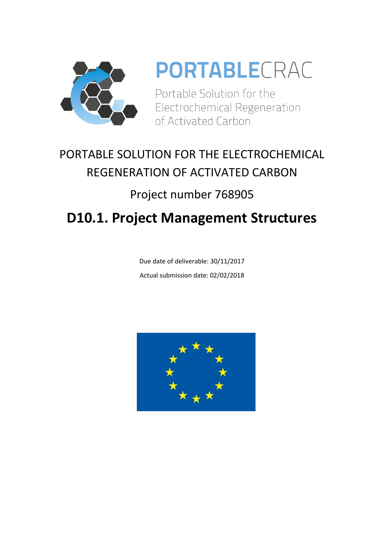

# **PORTABLECRAC**

Portable Solution for the Electrochemical Regeneration of Activated Carbon

## PORTABLE SOLUTION FOR THE ELECTROCHEMICAL REGENERATION OF ACTIVATED CARBON

### Project number 768905

### **D10.1. Project Management Structures**

Due date of deliverable: 30/11/2017 Actual submission date: 02/02/2018

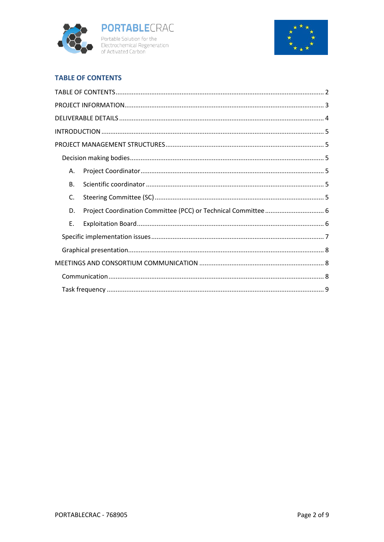



#### **TABLE OF CONTENTS**

| Α.        |  |  |  |  |
|-----------|--|--|--|--|
| <b>B.</b> |  |  |  |  |
| C.        |  |  |  |  |
| D.        |  |  |  |  |
| Ε.        |  |  |  |  |
|           |  |  |  |  |
|           |  |  |  |  |
|           |  |  |  |  |
|           |  |  |  |  |
|           |  |  |  |  |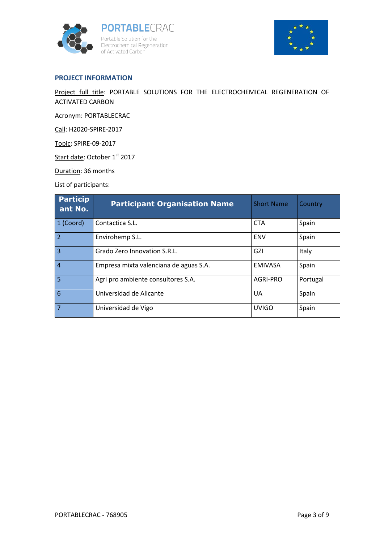



#### **PROJECT INFORMATION**

Project full title: PORTABLE SOLUTIONS FOR THE ELECTROCHEMICAL REGENERATION OF ACTIVATED CARBON

Acronym: PORTABLECRAC

Call: H2020-SPIRE-2017

Topic: SPIRE-09-2017

Start date: October 1<sup>st</sup> 2017

Duration: 36 months

List of participants:

| <b>Particip</b><br>ant No. | <b>Participant Organisation Name</b>   | <b>Short Name</b> | Country  |
|----------------------------|----------------------------------------|-------------------|----------|
| 1 (Coord)                  | Contactica S.L.                        | <b>CTA</b>        | Spain    |
| $\overline{2}$             | Envirohemp S.L.                        | <b>ENV</b>        | Spain    |
| 3                          | Grado Zero Innovation S.R.L.           | GZI               | Italy    |
| $\overline{4}$             | Empresa mixta valenciana de aguas S.A. | <b>EMIVASA</b>    | Spain    |
| 5                          | Agri pro ambiente consultores S.A.     | AGRI-PRO          | Portugal |
| 6                          | Universidad de Alicante                | UA                | Spain    |
| 7                          | Universidad de Vigo                    | <b>UVIGO</b>      | Spain    |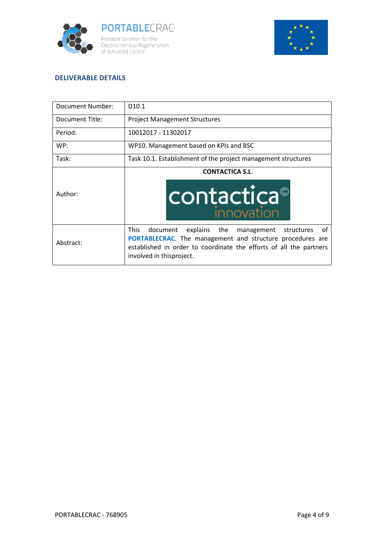



#### **DELIVERABLE DETAILS**

| Document Number: | D <sub>10.1</sub>                                                                                                                                                                                                                        |  |
|------------------|------------------------------------------------------------------------------------------------------------------------------------------------------------------------------------------------------------------------------------------|--|
| Document Title:  | <b>Project Management Structures</b>                                                                                                                                                                                                     |  |
| Period:          | 10012017 - 11302017                                                                                                                                                                                                                      |  |
| WP:              | WP10. Management based on KPIs and BSC                                                                                                                                                                                                   |  |
| Task:            | Task 10.1. Establishment of the project management structures                                                                                                                                                                            |  |
|                  | <b>CONTACTICA S.L.</b>                                                                                                                                                                                                                   |  |
| Author:          | contactica <sup>®</sup><br><b>Innovation</b>                                                                                                                                                                                             |  |
| Abstract:        | This<br>explains the<br>document<br>management<br>structures<br>of<br><b>PORTABLECRAC.</b> The management and structure procedures are<br>established in order to coordinate the efforts of all the partners<br>involved in thisproject. |  |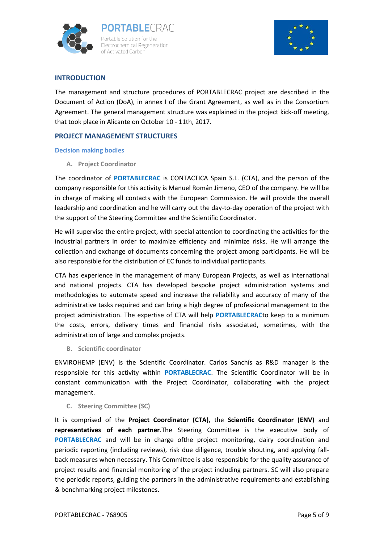



#### **INTRODUCTION**

The management and structure procedures of PORTABLECRAC project are described in the Document of Action (DoA), in annex I of the Grant Agreement, as well as in the Consortium Agreement. The general management structure was explained in the project kick-off meeting, that took place in Alicante on October 10 - 11th, 2017.

#### **PROJECT MANAGEMENT STRUCTURES**

#### **Decision making bodies**

**A. Project Coordinator**

The coordinator of **PORTABLECRAC** is CONTACTICA Spain S.L. (CTA), and the person of the company responsible for this activity is Manuel Román Jimeno, CEO of the company. He will be in charge of making all contacts with the European Commission. He will provide the overall leadership and coordination and he will carry out the day-to-day operation of the project with the support of the Steering Committee and the Scientific Coordinator.

He will supervise the entire project, with special attention to coordinating the activities for the industrial partners in order to maximize efficiency and minimize risks. He will arrange the collection and exchange of documents concerning the project among participants. He will be also responsible for the distribution of EC funds to individual participants.

CTA has experience in the management of many European Projects, as well as international and national projects. CTA has developed bespoke project administration systems and methodologies to automate speed and increase the reliability and accuracy of many of the administrative tasks required and can bring a high degree of professional management to the project administration. The expertise of CTA will help **PORTABLECRAC**to keep to a minimum the costs, errors, delivery times and financial risks associated, sometimes, with the administration of large and complex projects.

**B. Scientific coordinator**

ENVIROHEMP (ENV) is the Scientific Coordinator. Carlos Sanchís as R&D manager is the responsible for this activity within **PORTABLECRAC**. The Scientific Coordinator will be in constant communication with the Project Coordinator, collaborating with the project management.

#### **C. Steering Committee (SC)**

It is comprised of the **Project Coordinator (CTA)**, the **Scientific Coordinator (ENV)** and **representatives of each partner**.The Steering Committee is the executive body of **PORTABLECRAC** and will be in charge ofthe project monitoring, dairy coordination and periodic reporting (including reviews), risk due diligence, trouble shouting, and applying fallback measures when necessary. This Committee is also responsible for the quality assurance of project results and financial monitoring of the project including partners. SC will also prepare the periodic reports, guiding the partners in the administrative requirements and establishing & benchmarking project milestones.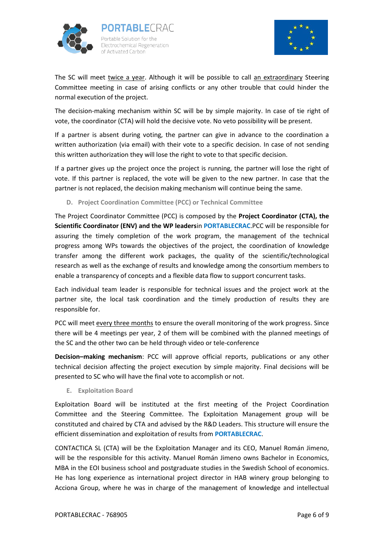



The SC will meet twice a year. Although it will be possible to call an extraordinary Steering Committee meeting in case of arising conflicts or any other trouble that could hinder the normal execution of the project.

The decision-making mechanism within SC will be by simple majority. In case of tie right of vote, the coordinator (CTA) will hold the decisive vote. No veto possibility will be present.

If a partner is absent during voting, the partner can give in advance to the coordination a written authorization (via email) with their vote to a specific decision. In case of not sending this written authorization they will lose the right to vote to that specific decision.

If a partner gives up the project once the project is running, the partner will lose the right of vote. If this partner is replaced, the vote will be given to the new partner. In case that the partner is not replaced, the decision making mechanism will continue being the same.

**D. Project Coordination Committee (PCC) or Technical Committee**

The Project Coordinator Committee (PCC) is composed by the **Project Coordinator (CTA), the Scientific Coordinator (ENV) and the WP leaders**in **PORTABLECRAC**.PCC will be responsible for assuring the timely completion of the work program, the management of the technical progress among WPs towards the objectives of the project, the coordination of knowledge transfer among the different work packages, the quality of the scientific/technological research as well as the exchange of results and knowledge among the consortium members to enable a transparency of concepts and a flexible data flow to support concurrent tasks.

Each individual team leader is responsible for technical issues and the project work at the partner site, the local task coordination and the timely production of results they are responsible for.

PCC will meet every three months to ensure the overall monitoring of the work progress. Since there will be 4 meetings per year, 2 of them will be combined with the planned meetings of the SC and the other two can be held through video or tele-conference

**Decision–making mechanism**: PCC will approve official reports, publications or any other technical decision affecting the project execution by simple majority. Final decisions will be presented to SC who will have the final vote to accomplish or not.

**E. Exploitation Board**

Exploitation Board will be instituted at the first meeting of the Project Coordination Committee and the Steering Committee. The Exploitation Management group will be constituted and chaired by CTA and advised by the R&D Leaders. This structure will ensure the efficient dissemination and exploitation of results from **PORTABLECRAC**.

CONTACTICA SL (CTA) will be the Exploitation Manager and its CEO, Manuel Román Jimeno, will be the responsible for this activity. Manuel Román Jimeno owns Bachelor in Economics, MBA in the EOI business school and postgraduate studies in the Swedish School of economics. He has long experience as international project director in HAB winery group belonging to Acciona Group, where he was in charge of the management of knowledge and intellectual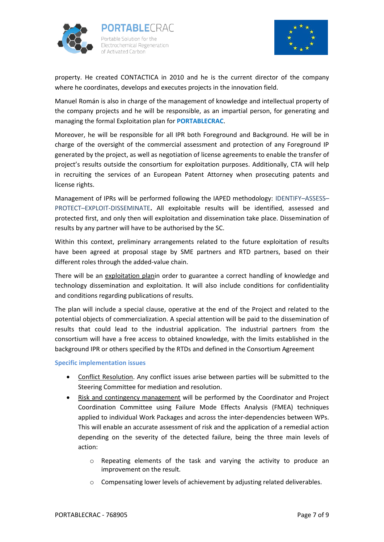



property. He created CONTACTICA in 2010 and he is the current director of the company where he coordinates, develops and executes projects in the innovation field.

Manuel Román is also in charge of the management of knowledge and intellectual property of the company projects and he will be responsible, as an impartial person, for generating and managing the formal Exploitation plan for **PORTABLECRAC**.

Moreover, he will be responsible for all IPR both Foreground and Background. He will be in charge of the oversight of the commercial assessment and protection of any Foreground IP generated by the project, as well as negotiation of license agreements to enable the transfer of project's results outside the consortium for exploitation purposes. Additionally, CTA will help in recruiting the services of an European Patent Attorney when prosecuting patents and license rights.

Management of IPRs will be performed following the IAPED methodology: IDENTIFY–ASSESS– PROTECT–EXPLOIT-DISSEMINATE**.** All exploitable results will be identified, assessed and protected first, and only then will exploitation and dissemination take place. Dissemination of results by any partner will have to be authorised by the SC.

Within this context, preliminary arrangements related to the future exploitation of results have been agreed at proposal stage by SME partners and RTD partners, based on their different roles through the added-value chain.

There will be an exploitation planin order to guarantee a correct handling of knowledge and technology dissemination and exploitation. It will also include conditions for confidentiality and conditions regarding publications of results.

The plan will include a special clause, operative at the end of the Project and related to the potential objects of commercialization. A special attention will be paid to the dissemination of results that could lead to the industrial application. The industrial partners from the consortium will have a free access to obtained knowledge, with the limits established in the background IPR or others specified by the RTDs and defined in the Consortium Agreement

#### **Specific implementation issues**

- Conflict Resolution. Any conflict issues arise between parties will be submitted to the Steering Committee for mediation and resolution.
- Risk and contingency management will be performed by the Coordinator and Project Coordination Committee using Failure Mode Effects Analysis (FMEA) techniques applied to individual Work Packages and across the inter-dependencies between WPs. This will enable an accurate assessment of risk and the application of a remedial action depending on the severity of the detected failure, being the three main levels of action:
	- o Repeating elements of the task and varying the activity to produce an improvement on the result.
	- o Compensating lower levels of achievement by adjusting related deliverables.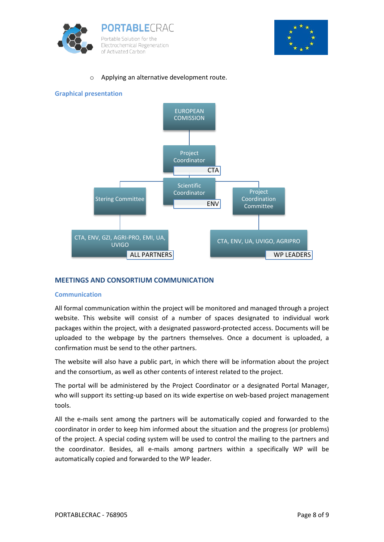



#### Applying an alternative development route.



#### **MEETINGS AND CONSORTIUM COMMUNICATION**

#### **Communication**

All formal communication within the project will be monitored and managed through a project website. This website will consist of a number of spaces designated to individual work packages within the project, with a designated password-protected access. Documents will be uploaded to the webpage by the partners themselves. Once a document is uploaded, a confirmation must be send to the other partners.

The website will also have a public part, in which there will be information about the project and the consortium, as well as other contents of interest related to the project.

The portal will be administered by the Project Coordinator or a designated Portal Manager, who will support its setting-up based on its wide expertise on web-based project management tools.

All the e-mails sent among the partners will be automatically copied and forwarded to the coordinator in order to keep him informed about the situation and the progress (or problems) of the project. A special coding system will be used to control the mailing to the partners and the coordinator. Besides, all e-mails among partners within a specifically WP will be automatically copied and forwarded to the WP leader.